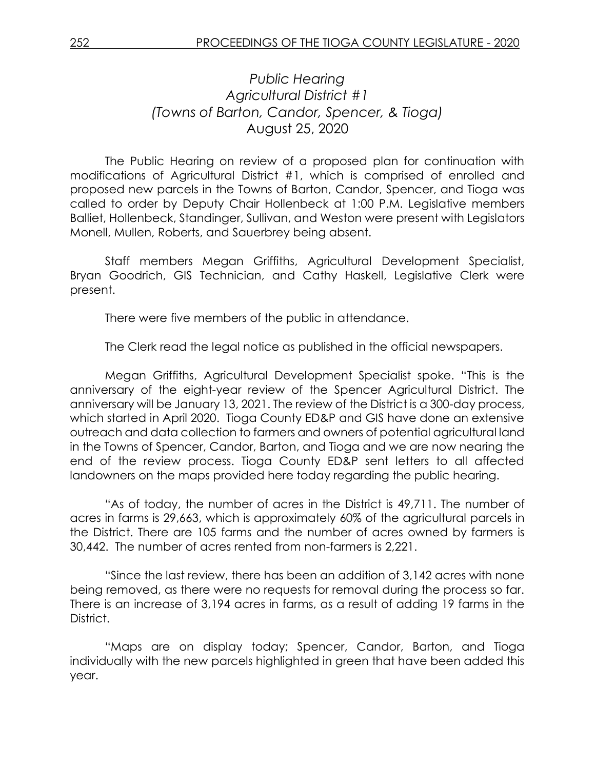## *Public Hearing Agricultural District #1 (Towns of Barton, Candor, Spencer, & Tioga)* August 25, 2020

The Public Hearing on review of a proposed plan for continuation with modifications of Agricultural District #1, which is comprised of enrolled and proposed new parcels in the Towns of Barton, Candor, Spencer, and Tioga was called to order by Deputy Chair Hollenbeck at 1:00 P.M. Legislative members Balliet, Hollenbeck, Standinger, Sullivan, and Weston were present with Legislators Monell, Mullen, Roberts, and Sauerbrey being absent.

Staff members Megan Griffiths, Agricultural Development Specialist, Bryan Goodrich, GIS Technician, and Cathy Haskell, Legislative Clerk were present.

There were five members of the public in attendance.

The Clerk read the legal notice as published in the official newspapers.

Megan Griffiths, Agricultural Development Specialist spoke. "This is the anniversary of the eight-year review of the Spencer Agricultural District. The anniversary will be January 13, 2021. The review of the District is a 300-day process, which started in April 2020. Tioga County ED&P and GIS have done an extensive outreach and data collection to farmers and owners of potential agricultural land in the Towns of Spencer, Candor, Barton, and Tioga and we are now nearing the end of the review process. Tioga County ED&P sent letters to all affected landowners on the maps provided here today regarding the public hearing.

"As of today, the number of acres in the District is 49,711. The number of acres in farms is 29,663, which is approximately 60% of the agricultural parcels in the District. There are 105 farms and the number of acres owned by farmers is 30,442. The number of acres rented from non-farmers is 2,221.

"Since the last review, there has been an addition of 3,142 acres with none being removed, as there were no requests for removal during the process so far. There is an increase of 3,194 acres in farms, as a result of adding 19 farms in the District.

"Maps are on display today; Spencer, Candor, Barton, and Tioga individually with the new parcels highlighted in green that have been added this year.